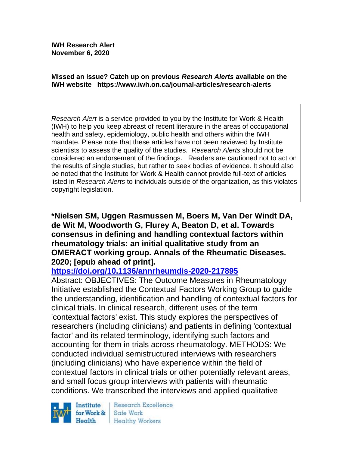#### **Missed an issue? Catch up on previous** *Research Alerts* **available on the [IWH website](http://www.iwh.on.ca/research-alerts) <https://www.iwh.on.ca/journal-articles/research-alerts>**

*Research Alert* is a service provided to you by the Institute for Work & Health (IWH) to help you keep abreast of recent literature in the areas of occupational health and safety, epidemiology, public health and others within the IWH mandate. Please note that these articles have not been reviewed by Institute scientists to assess the quality of the studies. *Research Alerts* should not be considered an endorsement of the findings. Readers are cautioned not to act on the results of single studies, but rather to seek bodies of evidence. It should also be noted that the Institute for Work & Health cannot provide full-text of articles listed in *Research Alerts* to individuals outside of the organization, as this violates copyright legislation.

**\*Nielsen SM, Uggen Rasmussen M, Boers M, Van Der Windt DA, de Wit M, Woodworth G, Flurey A, Beaton D, et al. Towards consensus in defining and handling contextual factors within rheumatology trials: an initial qualitative study from an OMERACT working group. Annals of the Rheumatic Diseases. 2020; [epub ahead of print].**

#### **<https://doi.org/10.1136/annrheumdis-2020-217895>**

Abstract: OBJECTIVES: The Outcome Measures in Rheumatology Initiative established the Contextual Factors Working Group to guide the understanding, identification and handling of contextual factors for clinical trials. In clinical research, different uses of the term 'contextual factors' exist. This study explores the perspectives of researchers (including clinicians) and patients in defining 'contextual factor' and its related terminology, identifying such factors and accounting for them in trials across rheumatology. METHODS: We conducted individual semistructured interviews with researchers (including clinicians) who have experience within the field of contextual factors in clinical trials or other potentially relevant areas, and small focus group interviews with patients with rheumatic conditions. We transcribed the interviews and applied qualitative



Research Excellence Safe Work Healthy Workers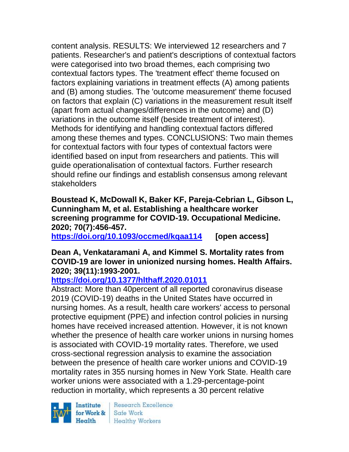content analysis. RESULTS: We interviewed 12 researchers and 7 patients. Researcher's and patient's descriptions of contextual factors were categorised into two broad themes, each comprising two contextual factors types. The 'treatment effect' theme focused on factors explaining variations in treatment effects (A) among patients and (B) among studies. The 'outcome measurement' theme focused on factors that explain (C) variations in the measurement result itself (apart from actual changes/differences in the outcome) and (D) variations in the outcome itself (beside treatment of interest). Methods for identifying and handling contextual factors differed among these themes and types. CONCLUSIONS: Two main themes for contextual factors with four types of contextual factors were identified based on input from researchers and patients. This will guide operationalisation of contextual factors. Further research should refine our findings and establish consensus among relevant stakeholders

**Boustead K, McDowall K, Baker KF, Pareja-Cebrian L, Gibson L, Cunningham M, et al. Establishing a healthcare worker screening programme for COVID-19. Occupational Medicine. 2020; 70(7):456-457.** 

**<https://doi.org/10.1093/occmed/kqaa114> [open access]**

### **Dean A, Venkataramani A, and Kimmel S. Mortality rates from COVID-19 are lower in unionized nursing homes. Health Affairs. 2020; 39(11):1993-2001.**

# **<https://doi.org/10.1377/hlthaff.2020.01011>**

Abstract: More than 40percent of all reported coronavirus disease 2019 (COVID-19) deaths in the United States have occurred in nursing homes. As a result, health care workers' access to personal protective equipment (PPE) and infection control policies in nursing homes have received increased attention. However, it is not known whether the presence of health care worker unions in nursing homes is associated with COVID-19 mortality rates. Therefore, we used cross-sectional regression analysis to examine the association between the presence of health care worker unions and COVID-19 mortality rates in 355 nursing homes in New York State. Health care worker unions were associated with a 1.29-percentage-point reduction in mortality, which represents a 30 percent relative

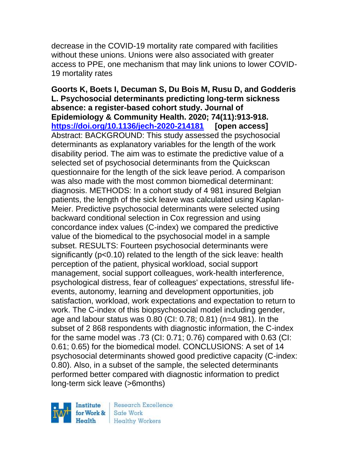decrease in the COVID-19 mortality rate compared with facilities without these unions. Unions were also associated with greater access to PPE, one mechanism that may link unions to lower COVID-19 mortality rates

**Goorts K, Boets I, Decuman S, Du Bois M, Rusu D, and Godderis L. Psychosocial determinants predicting long-term sickness absence: a register-based cohort study. Journal of Epidemiology & Community Health. 2020; 74(11):913-918. <https://doi.org/10.1136/jech-2020-214181> [open access]** Abstract: BACKGROUND: This study assessed the psychosocial determinants as explanatory variables for the length of the work disability period. The aim was to estimate the predictive value of a selected set of psychosocial determinants from the Quickscan questionnaire for the length of the sick leave period. A comparison was also made with the most common biomedical determinant: diagnosis. METHODS: In a cohort study of 4 981 insured Belgian patients, the length of the sick leave was calculated using Kaplan-Meier. Predictive psychosocial determinants were selected using backward conditional selection in Cox regression and using concordance index values (C-index) we compared the predictive value of the biomedical to the psychosocial model in a sample subset. RESULTS: Fourteen psychosocial determinants were significantly (p<0.10) related to the length of the sick leave: health perception of the patient, physical workload, social support management, social support colleagues, work-health interference, psychological distress, fear of colleagues' expectations, stressful lifeevents, autonomy, learning and development opportunities, job satisfaction, workload, work expectations and expectation to return to work. The C-index of this biopsychosocial model including gender, age and labour status was 0.80 (CI: 0.78; 0.81) (n=4 981). In the subset of 2 868 respondents with diagnostic information, the C-index for the same model was .73 (CI: 0.71; 0.76) compared with 0.63 (CI: 0.61; 0.65) for the biomedical model. CONCLUSIONS: A set of 14 psychosocial determinants showed good predictive capacity (C-index: 0.80). Also, in a subset of the sample, the selected determinants performed better compared with diagnostic information to predict long-term sick leave (>6months)

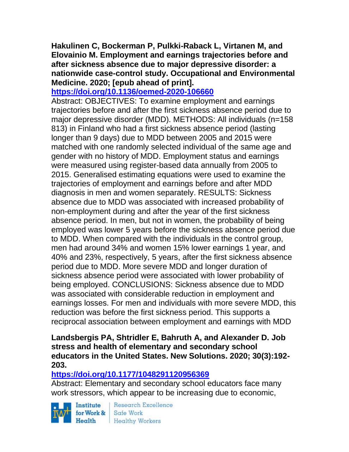**Hakulinen C, Bockerman P, Pulkki-Raback L, Virtanen M, and Elovainio M. Employment and earnings trajectories before and after sickness absence due to major depressive disorder: a nationwide case-control study. Occupational and Environmental Medicine. 2020; [epub ahead of print].**

#### **<https://doi.org/10.1136/oemed-2020-106660>**

Abstract: OBJECTIVES: To examine employment and earnings trajectories before and after the first sickness absence period due to major depressive disorder (MDD). METHODS: All individuals (n=158 813) in Finland who had a first sickness absence period (lasting longer than 9 days) due to MDD between 2005 and 2015 were matched with one randomly selected individual of the same age and gender with no history of MDD. Employment status and earnings were measured using register-based data annually from 2005 to 2015. Generalised estimating equations were used to examine the trajectories of employment and earnings before and after MDD diagnosis in men and women separately. RESULTS: Sickness absence due to MDD was associated with increased probability of non-employment during and after the year of the first sickness absence period. In men, but not in women, the probability of being employed was lower 5 years before the sickness absence period due to MDD. When compared with the individuals in the control group, men had around 34% and women 15% lower earnings 1 year, and 40% and 23%, respectively, 5 years, after the first sickness absence period due to MDD. More severe MDD and longer duration of sickness absence period were associated with lower probability of being employed. CONCLUSIONS: Sickness absence due to MDD was associated with considerable reduction in employment and earnings losses. For men and individuals with more severe MDD, this reduction was before the first sickness period. This supports a reciprocal association between employment and earnings with MDD

#### **Landsbergis PA, Shtridler E, Bahruth A, and Alexander D. Job stress and health of elementary and secondary school educators in the United States. New Solutions. 2020; 30(3):192- 203.**

#### **<https://doi.org/10.1177/1048291120956369>**

Abstract: Elementary and secondary school educators face many work stressors, which appear to be increasing due to economic,

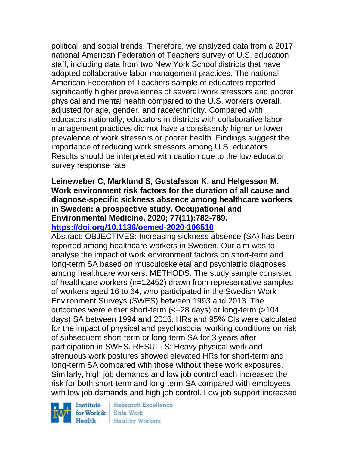political, and social trends. Therefore, we analyzed data from a 2017 national American Federation of Teachers survey of U.S. education staff, including data from two New York School districts that have adopted collaborative labor-management practices. The national American Federation of Teachers sample of educators reported significantly higher prevalences of several work stressors and poorer physical and mental health compared to the U.S. workers overall, adjusted for age, gender, and race/ethnicity. Compared with educators nationally, educators in districts with collaborative labormanagement practices did not have a consistently higher or lower prevalence of work stressors or poorer health. Findings suggest the importance of reducing work stressors among U.S. educators. Results should be interpreted with caution due to the low educator survey response rate

#### **Leineweber C, Marklund S, Gustafsson K, and Helgesson M. Work environment risk factors for the duration of all cause and diagnose-specific sickness absence among healthcare workers in Sweden: a prospective study. Occupational and Environmental Medicine. 2020; 77(11):782-789. <https://doi.org/10.1136/oemed-2020-106510>**

Abstract: OBJECTIVES: Increasing sickness absence (SA) has been reported among healthcare workers in Sweden. Our aim was to analyse the impact of work environment factors on short-term and long-term SA based on musculoskeletal and psychiatric diagnoses among healthcare workers. METHODS: The study sample consisted of healthcare workers (n=12452) drawn from representative samples of workers aged 16 to 64, who participated in the Swedish Work Environment Surveys (SWES) between 1993 and 2013. The outcomes were either short-term (<=28 days) or long-term (>104 days) SA between 1994 and 2016. HRs and 95% CIs were calculated for the impact of physical and psychosocial working conditions on risk of subsequent short-term or long-term SA for 3 years after participation in SWES. RESULTS: Heavy physical work and strenuous work postures showed elevated HRs for short-term and long-term SA compared with those without these work exposures. Similarly, high job demands and low job control each increased the risk for both short-term and long-term SA compared with employees with low job demands and high job control. Low job support increased

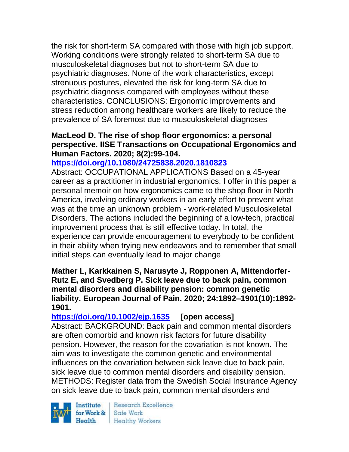the risk for short-term SA compared with those with high job support. Working conditions were strongly related to short-term SA due to musculoskeletal diagnoses but not to short-term SA due to psychiatric diagnoses. None of the work characteristics, except strenuous postures, elevated the risk for long-term SA due to psychiatric diagnosis compared with employees without these characteristics. CONCLUSIONS: Ergonomic improvements and stress reduction among healthcare workers are likely to reduce the prevalence of SA foremost due to musculoskeletal diagnoses

#### **MacLeod D. The rise of shop floor ergonomics: a personal perspective. IISE Transactions on Occupational Ergonomics and Human Factors. 2020; 8(2):99-104.**

#### **<https://doi.org/10.1080/24725838.2020.1810823>**

Abstract: OCCUPATIONAL APPLICATIONS Based on a 45-year career as a practitioner in industrial ergonomics, I offer in this paper a personal memoir on how ergonomics came to the shop floor in North America, involving ordinary workers in an early effort to prevent what was at the time an unknown problem - work-related Musculoskeletal Disorders. The actions included the beginning of a low-tech, practical improvement process that is still effective today. In total, the experience can provide encouragement to everybody to be confident in their ability when trying new endeavors and to remember that small initial steps can eventually lead to major change

#### **Mather L, Karkkainen S, Narusyte J, Ropponen A, Mittendorfer-Rutz E, and Svedberg P. Sick leave due to back pain, common mental disorders and disability pension: common genetic liability. European Journal of Pain. 2020; 24:1892–1901(10):1892- 1901.**

**<https://doi.org/10.1002/ejp.1635> [open access]** Abstract: BACKGROUND: Back pain and common mental disorders are often comorbid and known risk factors for future disability pension. However, the reason for the covariation is not known. The aim was to investigate the common genetic and environmental influences on the covariation between sick leave due to back pain, sick leave due to common mental disorders and disability pension. METHODS: Register data from the Swedish Social Insurance Agency on sick leave due to back pain, common mental disorders and

Institute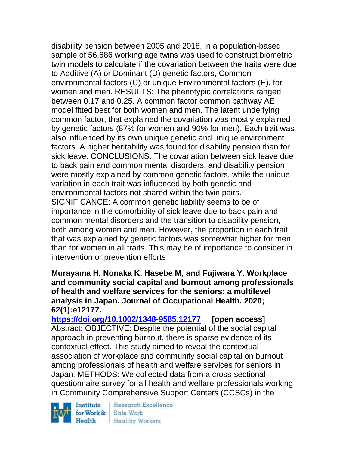disability pension between 2005 and 2018, in a population-based sample of 56,686 working age twins was used to construct biometric twin models to calculate if the covariation between the traits were due to Additive (A) or Dominant (D) genetic factors, Common environmental factors (C) or unique Environmental factors (E), for women and men. RESULTS: The phenotypic correlations ranged between 0.17 and 0.25. A common factor common pathway AE model fitted best for both women and men. The latent underlying common factor, that explained the covariation was mostly explained by genetic factors (87% for women and 90% for men). Each trait was also influenced by its own unique genetic and unique environment factors. A higher heritability was found for disability pension than for sick leave. CONCLUSIONS: The covariation between sick leave due to back pain and common mental disorders, and disability pension were mostly explained by common genetic factors, while the unique variation in each trait was influenced by both genetic and environmental factors not shared within the twin pairs. SIGNIFICANCE: A common genetic liability seems to be of importance in the comorbidity of sick leave due to back pain and common mental disorders and the transition to disability pension, both among women and men. However, the proportion in each trait that was explained by genetic factors was somewhat higher for men than for women in all traits. This may be of importance to consider in intervention or prevention efforts

**Murayama H, Nonaka K, Hasebe M, and Fujiwara Y. Workplace and community social capital and burnout among professionals of health and welfare services for the seniors: a multilevel analysis in Japan. Journal of Occupational Health. 2020; 62(1):e12177.**

**<https://doi.org/10.1002/1348-9585.12177> [open access]** Abstract: OBJECTIVE: Despite the potential of the social capital approach in preventing burnout, there is sparse evidence of its contextual effect. This study aimed to reveal the contextual association of workplace and community social capital on burnout among professionals of health and welfare services for seniors in Japan. METHODS: We collected data from a cross-sectional questionnaire survey for all health and welfare professionals working in Community Comprehensive Support Centers (CCSCs) in the

Institute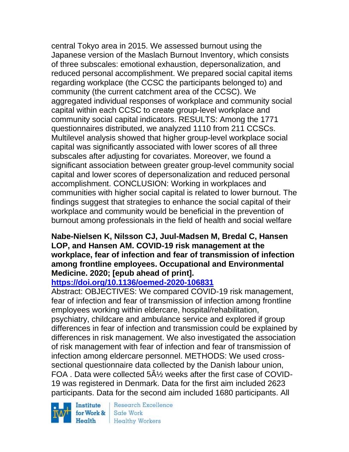central Tokyo area in 2015. We assessed burnout using the Japanese version of the Maslach Burnout Inventory, which consists of three subscales: emotional exhaustion, depersonalization, and reduced personal accomplishment. We prepared social capital items regarding workplace (the CCSC the participants belonged to) and community (the current catchment area of the CCSC). We aggregated individual responses of workplace and community social capital within each CCSC to create group-level workplace and community social capital indicators. RESULTS: Among the 1771 questionnaires distributed, we analyzed 1110 from 211 CCSCs. Multilevel analysis showed that higher group-level workplace social capital was significantly associated with lower scores of all three subscales after adjusting for covariates. Moreover, we found a significant association between greater group-level community social capital and lower scores of depersonalization and reduced personal accomplishment. CONCLUSION: Working in workplaces and communities with higher social capital is related to lower burnout. The findings suggest that strategies to enhance the social capital of their workplace and community would be beneficial in the prevention of burnout among professionals in the field of health and social welfare

### **Nabe-Nielsen K, Nilsson CJ, Juul-Madsen M, Bredal C, Hansen LOP, and Hansen AM. COVID-19 risk management at the workplace, fear of infection and fear of transmission of infection among frontline employees. Occupational and Environmental Medicine. 2020; [epub ahead of print].**

# **<https://doi.org/10.1136/oemed-2020-106831>**

Abstract: OBJECTIVES: We compared COVID-19 risk management, fear of infection and fear of transmission of infection among frontline employees working within eldercare, hospital/rehabilitation, psychiatry, childcare and ambulance service and explored if group differences in fear of infection and transmission could be explained by differences in risk management. We also investigated the association of risk management with fear of infection and fear of transmission of infection among eldercare personnel. METHODS: We used crosssectional questionnaire data collected by the Danish labour union, FOA . Data were collected 5½ weeks after the first case of COVID-19 was registered in Denmark. Data for the first aim included 2623 participants. Data for the second aim included 1680 participants. All

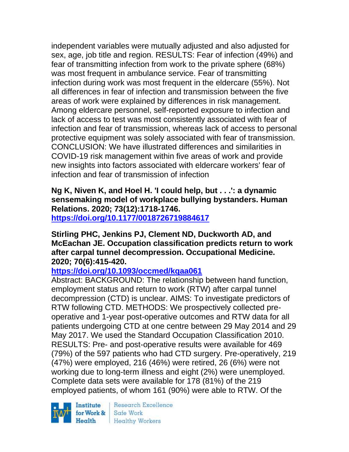independent variables were mutually adjusted and also adjusted for sex, age, job title and region. RESULTS: Fear of infection (49%) and fear of transmitting infection from work to the private sphere (68%) was most frequent in ambulance service. Fear of transmitting infection during work was most frequent in the eldercare (55%). Not all differences in fear of infection and transmission between the five areas of work were explained by differences in risk management. Among eldercare personnel, self-reported exposure to infection and lack of access to test was most consistently associated with fear of infection and fear of transmission, whereas lack of access to personal protective equipment was solely associated with fear of transmission. CONCLUSION: We have illustrated differences and similarities in COVID-19 risk management within five areas of work and provide new insights into factors associated with eldercare workers' fear of infection and fear of transmission of infection

**Ng K, Niven K, and Hoel H. 'I could help, but . . .': a dynamic sensemaking model of workplace bullying bystanders. Human Relations. 2020; 73(12):1718-1746. <https://doi.org/10.1177/0018726719884617>** 

#### **Stirling PHC, Jenkins PJ, Clement ND, Duckworth AD, and McEachan JE. Occupation classification predicts return to work after carpal tunnel decompression. Occupational Medicine. 2020; 70(6):415-420.**

# **<https://doi.org/10.1093/occmed/kqaa061>**

Abstract: BACKGROUND: The relationship between hand function, employment status and return to work (RTW) after carpal tunnel decompression (CTD) is unclear. AIMS: To investigate predictors of RTW following CTD. METHODS: We prospectively collected preoperative and 1-year post-operative outcomes and RTW data for all patients undergoing CTD at one centre between 29 May 2014 and 29 May 2017. We used the Standard Occupation Classification 2010. RESULTS: Pre- and post-operative results were available for 469 (79%) of the 597 patients who had CTD surgery. Pre-operatively, 219 (47%) were employed, 216 (46%) were retired, 26 (6%) were not working due to long-term illness and eight (2%) were unemployed. Complete data sets were available for 178 (81%) of the 219 employed patients, of whom 161 (90%) were able to RTW. Of the

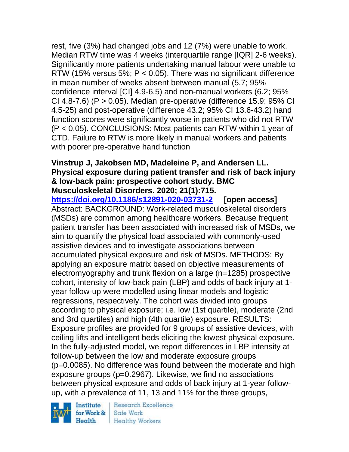rest, five (3%) had changed jobs and 12 (7%) were unable to work. Median RTW time was 4 weeks (interquartile range [IQR] 2-6 weeks). Significantly more patients undertaking manual labour were unable to RTW (15% versus 5%; P < 0.05). There was no significant difference in mean number of weeks absent between manual (5.7; 95% confidence interval [CI] 4.9-6.5) and non-manual workers (6.2; 95% CI 4.8-7.6) (P > 0.05). Median pre-operative (difference 15.9; 95% CI 4.5-25) and post-operative (difference 43.2; 95% CI 13.6-43.2) hand function scores were significantly worse in patients who did not RTW (P < 0.05). CONCLUSIONS: Most patients can RTW within 1 year of CTD. Failure to RTW is more likely in manual workers and patients with poorer pre-operative hand function

#### **Vinstrup J, Jakobsen MD, Madeleine P, and Andersen LL. Physical exposure during patient transfer and risk of back injury & low-back pain: prospective cohort study. BMC Musculoskeletal Disorders. 2020; 21(1):715.**

**<https://doi.org/10.1186/s12891-020-03731-2> [open access]** Abstract: BACKGROUND: Work-related musculoskeletal disorders (MSDs) are common among healthcare workers. Because frequent patient transfer has been associated with increased risk of MSDs, we aim to quantify the physical load associated with commonly-used assistive devices and to investigate associations between accumulated physical exposure and risk of MSDs. METHODS: By applying an exposure matrix based on objective measurements of electromyography and trunk flexion on a large (n=1285) prospective cohort, intensity of low-back pain (LBP) and odds of back injury at 1 year follow-up were modelled using linear models and logistic regressions, respectively. The cohort was divided into groups according to physical exposure; i.e. low (1st quartile), moderate (2nd and 3rd quartiles) and high (4th quartile) exposure. RESULTS: Exposure profiles are provided for 9 groups of assistive devices, with ceiling lifts and intelligent beds eliciting the lowest physical exposure. In the fully-adjusted model, we report differences in LBP intensity at follow-up between the low and moderate exposure groups (p=0.0085). No difference was found between the moderate and high exposure groups (p=0.2967). Likewise, we find no associations between physical exposure and odds of back injury at 1-year followup, with a prevalence of 11, 13 and 11% for the three groups,



**Research Excellence** Safe Work **Healthy Workers**